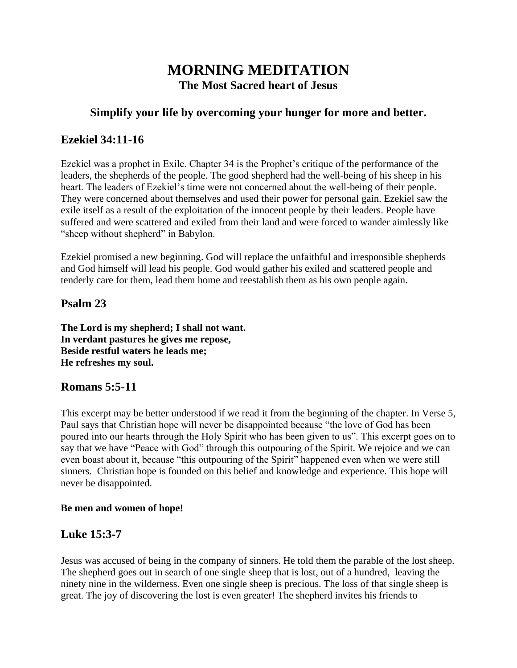# **MORNING MEDITATION The Most Sacred heart of Jesus**

#### **Simplify your life by overcoming your hunger for more and better.**

#### **Ezekiel 34:11-16**

Ezekiel was a prophet in Exile. Chapter 34 is the Prophet's critique of the performance of the leaders, the shepherds of the people. The good shepherd had the well-being of his sheep in his heart. The leaders of Ezekiel's time were not concerned about the well-being of their people. They were concerned about themselves and used their power for personal gain. Ezekiel saw the exile itself as a result of the exploitation of the innocent people by their leaders. People have suffered and were scattered and exiled from their land and were forced to wander aimlessly like "sheep without shepherd" in Babylon.

Ezekiel promised a new beginning. God will replace the unfaithful and irresponsible shepherds and God himself will lead his people. God would gather his exiled and scattered people and tenderly care for them, lead them home and reestablish them as his own people again.

#### **Psalm 23**

**The Lord is my shepherd; I shall not want. In verdant pastures he gives me repose, Beside restful waters he leads me; He refreshes my soul.**

### **Romans 5:5-11**

This excerpt may be better understood if we read it from the beginning of the chapter. In Verse 5, Paul says that Christian hope will never be disappointed because "the love of God has been poured into our hearts through the Holy Spirit who has been given to us". This excerpt goes on to say that we have "Peace with God" through this outpouring of the Spirit. We rejoice and we can even boast about it, because "this outpouring of the Spirit" happened even when we were still sinners. Christian hope is founded on this belief and knowledge and experience. This hope will never be disappointed.

#### **Be men and women of hope!**

### **Luke 15:3-7**

Jesus was accused of being in the company of sinners. He told them the parable of the lost sheep. The shepherd goes out in search of one single sheep that is lost, out of a hundred, leaving the ninety nine in the wilderness. Even one single sheep is precious. The loss of that single sheep is great. The joy of discovering the lost is even greater! The shepherd invites his friends to